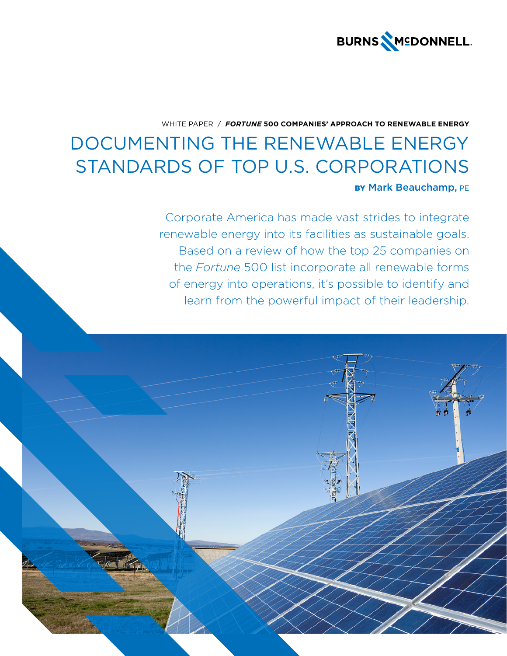

# WHITE PAPER / *FORTUNE* **500 COMPANIES' APPROACH TO RENEWABLE ENERGY**

# DOCUMENTING THE RENEWABLE ENERGY STANDARDS OF TOP U.S. CORPORATIONS BY Mark Beauchamp, PE

Corporate America has made vast strides to integrate renewable energy into its facilities as sustainable goals. Based on a review of how the top 25 companies on the *Fortune* 500 list incorporate all renewable forms of energy into operations, it's possible to identify and learn from the powerful impact of their leadership.

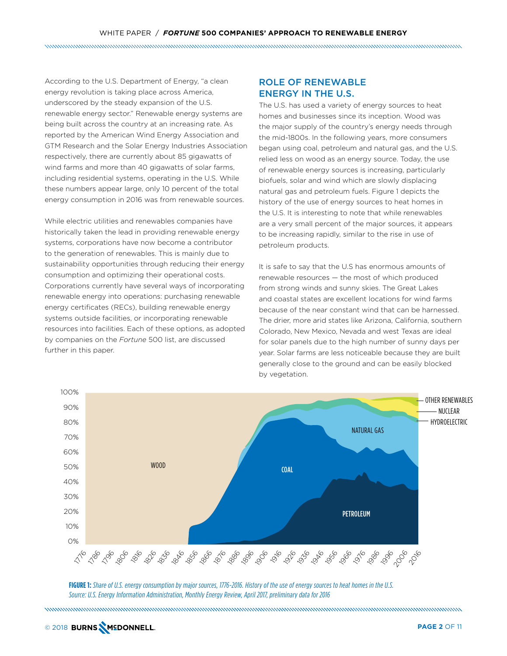According to the U.S. Department of Energy, "a clean energy revolution is taking place across America, underscored by the steady expansion of the U.S. renewable energy sector." Renewable energy systems are being built across the country at an increasing rate. As reported by the American Wind Energy Association and GTM Research and the Solar Energy Industries Association respectively, there are currently about 85 gigawatts of wind farms and more than 40 gigawatts of solar farms, including residential systems, operating in the U.S. While these numbers appear large, only 10 percent of the total energy consumption in 2016 was from renewable sources.

While electric utilities and renewables companies have historically taken the lead in providing renewable energy systems, corporations have now become a contributor to the generation of renewables. This is mainly due to sustainability opportunities through reducing their energy consumption and optimizing their operational costs. Corporations currently have several ways of incorporating renewable energy into operations: purchasing renewable energy certificates (RECs), building renewable energy systems outside facilities, or incorporating renewable resources into facilities. Each of these options, as adopted by companies on the *Fortune* 500 list, are discussed further in this paper.

# ROLE OF RENEWABLE ENERGY IN THE U.S.

The U.S. has used a variety of energy sources to heat homes and businesses since its inception. Wood was the major supply of the country's energy needs through the mid-1800s. In the following years, more consumers began using coal, petroleum and natural gas, and the U.S. relied less on wood as an energy source. Today, the use of renewable energy sources is increasing, particularly biofuels, solar and wind which are slowly displacing natural gas and petroleum fuels. Figure 1 depicts the history of the use of energy sources to heat homes in the U.S. It is interesting to note that while renewables are a very small percent of the major sources, it appears to be increasing rapidly, similar to the rise in use of petroleum products.

It is safe to say that the U.S has enormous amounts of renewable resources — the most of which produced from strong winds and sunny skies. The Great Lakes and coastal states are excellent locations for wind farms because of the near constant wind that can be harnessed. The drier, more arid states like Arizona, California, southern Colorado, New Mexico, Nevada and west Texas are ideal for solar panels due to the high number of sunny days per year. Solar farms are less noticeable because they are built generally close to the ground and can be easily blocked by vegetation.



**FIGURE 1:** *Share of U.S. energy consumption by major sources, 1776-2016. History of the use of energy sources to heat homes in the U.S. Source: U.S. Energy Information Administration, Monthly Energy Review, April 2017, preliminary data for 2016*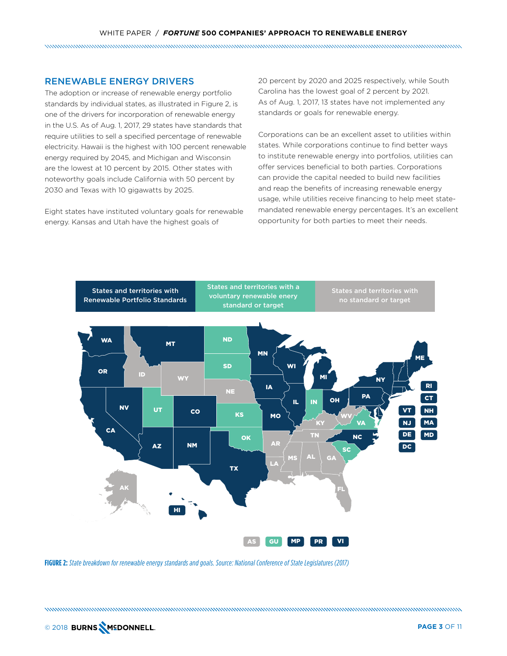# RENEWABLE ENERGY DRIVERS

The adoption or increase of renewable energy portfolio standards by individual states, as illustrated in Figure 2, is one of the drivers for incorporation of renewable energy in the U.S. As of Aug. 1, 2017, 29 states have standards that require utilities to sell a specified percentage of renewable electricity. Hawaii is the highest with 100 percent renewable energy required by 2045, and Michigan and Wisconsin are the lowest at 10 percent by 2015. Other states with noteworthy goals include California with 50 percent by 2030 and Texas with 10 gigawatts by 2025.

Eight states have instituted voluntary goals for renewable energy. Kansas and Utah have the highest goals of

20 percent by 2020 and 2025 respectively, while South Carolina has the lowest goal of 2 percent by 2021. As of Aug. 1, 2017, 13 states have not implemented any standards or goals for renewable energy.

Corporations can be an excellent asset to utilities within states. While corporations continue to find better ways to institute renewable energy into portfolios, utilities can offer services beneficial to both parties. Corporations can provide the capital needed to build new facilities and reap the benefits of increasing renewable energy usage, while utilities receive financing to help meet statemandated renewable energy percentages. It's an excellent opportunity for both parties to meet their needs.



**FIGURE 2:** *State breakdown for renewable energy standards and goals. Source: National Conference of State Legislatures (2017)*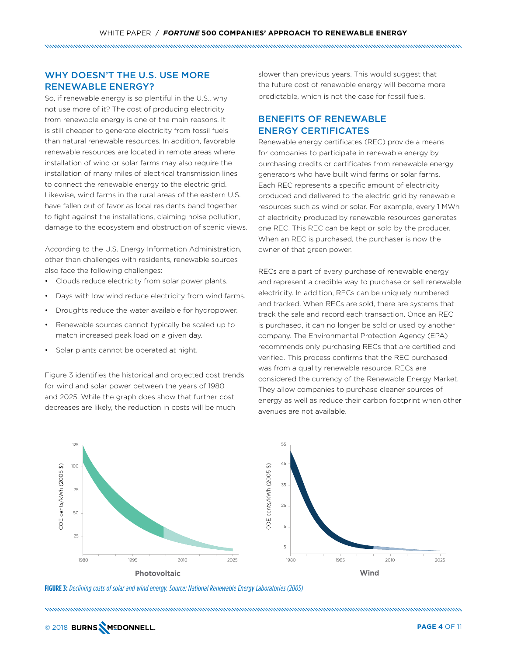# WHY DOESN'T THE U.S. USE MORE RENEWABLE ENERGY?

So, if renewable energy is so plentiful in the U.S., why not use more of it? The cost of producing electricity from renewable energy is one of the main reasons. It is still cheaper to generate electricity from fossil fuels than natural renewable resources. In addition, favorable renewable resources are located in remote areas where installation of wind or solar farms may also require the installation of many miles of electrical transmission lines to connect the renewable energy to the electric grid. Likewise, wind farms in the rural areas of the eastern U.S. have fallen out of favor as local residents band together to fight against the installations, claiming noise pollution, damage to the ecosystem and obstruction of scenic views.

According to the U.S. Energy Information Administration, other than challenges with residents, renewable sources also face the following challenges:

- Clouds reduce electricity from solar power plants.
- Days with low wind reduce electricity from wind farms.
- Droughts reduce the water available for hydropower.
- Renewable sources cannot typically be scaled up to match increased peak load on a given day.
- Solar plants cannot be operated at night.

Figure 3 identifies the historical and projected cost trends for wind and solar power between the years of 1980 and 2025. While the graph does show that further cost decreases are likely, the reduction in costs will be much

slower than previous years. This would suggest that the future cost of renewable energy will become more predictable, which is not the case for fossil fuels.

# BENEFITS OF RENEWABLE ENERGY CERTIFICATES

Renewable energy certificates (REC) provide a means for companies to participate in renewable energy by purchasing credits or certificates from renewable energy generators who have built wind farms or solar farms. Each REC represents a specific amount of electricity produced and delivered to the electric grid by renewable resources such as wind or solar. For example, every 1 MWh of electricity produced by renewable resources generates one REC. This REC can be kept or sold by the producer. When an REC is purchased, the purchaser is now the owner of that green power.

RECs are a part of every purchase of renewable energy and represent a credible way to purchase or sell renewable electricity. In addition, RECs can be uniquely numbered and tracked. When RECs are sold, there are systems that track the sale and record each transaction. Once an REC is purchased, it can no longer be sold or used by another company. The Environmental Protection Agency (EPA) recommends only purchasing RECs that are certified and verified. This process confirms that the REC purchased was from a quality renewable resource. RECs are considered the currency of the Renewable Energy Market. They allow companies to purchase cleaner sources of energy as well as reduce their carbon footprint when other avenues are not available.



**FIGURE 3:** *Declining costs of solar and wind energy. Source: National Renewable Energy Laboratories (2005)*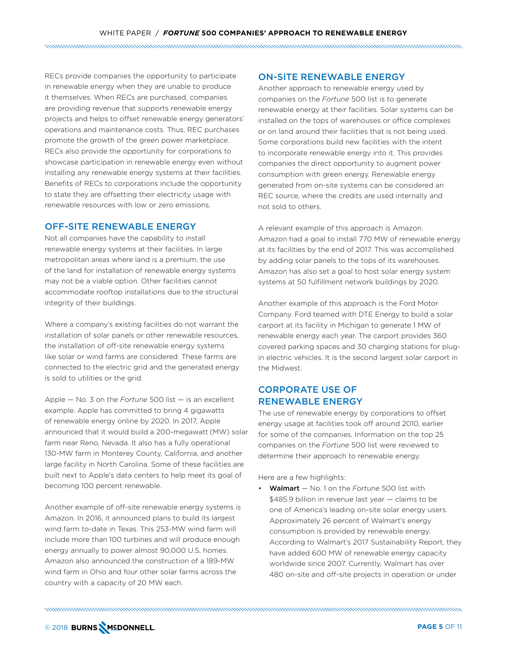RECs provide companies the opportunity to participate in renewable energy when they are unable to produce it themselves. When RECs are purchased, companies are providing revenue that supports renewable energy projects and helps to offset renewable energy generators' operations and maintenance costs. Thus, REC purchases promote the growth of the green power marketplace. RECs also provide the opportunity for corporations to showcase participation in renewable energy even without installing any renewable energy systems at their facilities. Benefits of RECs to corporations include the opportunity to state they are offsetting their electricity usage with renewable resources with low or zero emissions.

#### OFF-SITE RENEWABLE ENERGY

Not all companies have the capability to install renewable energy systems at their facilities. In large metropolitan areas where land is a premium, the use of the land for installation of renewable energy systems may not be a viable option. Other facilities cannot accommodate rooftop installations due to the structural integrity of their buildings.

Where a company's existing facilities do not warrant the installation of solar panels or other renewable resources, the installation of off-site renewable energy systems like solar or wind farms are considered. These farms are connected to the electric grid and the generated energy is sold to utilities or the grid.

Apple — No. 3 on the *Fortune* 500 list — is an excellent example. Apple has committed to bring 4 gigawatts of renewable energy online by 2020. In 2017, Apple announced that it would build a 200-megawatt (MW) solar farm near Reno, Nevada. It also has a fully operational 130-MW farm in Monterey County, California, and another large facility in North Carolina. Some of these facilities are built next to Apple's data centers to help meet its goal of becoming 100 percent renewable.

Another example of off-site renewable energy systems is Amazon. In 2016, it announced plans to build its largest wind farm to-date in Texas. This 253-MW wind farm will include more than 100 turbines and will produce enough energy annually to power almost 90,000 U.S. homes. Amazon also announced the construction of a 189-MW wind farm in Ohio and four other solar farms across the country with a capacity of 20 MW each.

#### ON-SITE RENEWABLE ENERGY

Another approach to renewable energy used by companies on the *Fortune* 500 list is to generate renewable energy at their facilities. Solar systems can be installed on the tops of warehouses or office complexes or on land around their facilities that is not being used. Some corporations build new facilities with the intent to incorporate renewable energy into it. This provides companies the direct opportunity to augment power consumption with green energy. Renewable energy generated from on-site systems can be considered an REC source, where the credits are used internally and not sold to others.

A relevant example of this approach is Amazon. Amazon had a goal to install 770 MW of renewable energy at its facilities by the end of 2017. This was accomplished by adding solar panels to the tops of its warehouses. Amazon has also set a goal to host solar energy system systems at 50 fulfillment network buildings by 2020.

Another example of this approach is the Ford Motor Company. Ford teamed with DTE Energy to build a solar carport at its facility in Michigan to generate 1 MW of renewable energy each year. The carport provides 360 covered parking spaces and 30 charging stations for plugin electric vehicles. It is the second largest solar carport in the Midwest.

# CORPORATE USE OF RENEWABLE ENERGY

The use of renewable energy by corporations to offset energy usage at facilities took off around 2010, earlier for some of the companies. Information on the top 25 companies on the *Fortune* 500 list were reviewed to determine their approach to renewable energy.

Here are a few highlights:

• Walmart — No. 1 on the *Fortune* 500 list with \$485.9 billion in revenue last year – claims to be one of America's leading on-site solar energy users. Approximately 26 percent of Walmart's energy consumption is provided by renewable energy. According to Walmart's 2017 Sustainability Report, they have added 600 MW of renewable energy capacity worldwide since 2007. Currently, Walmart has over 480 on-site and off-site projects in operation or under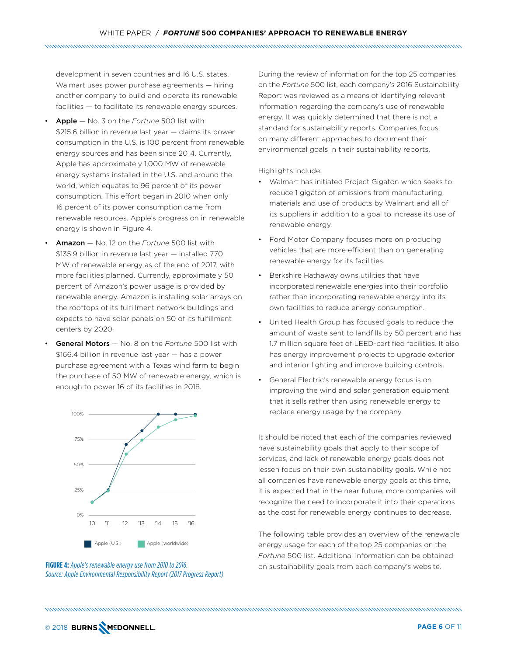development in seven countries and 16 U.S. states. Walmart uses power purchase agreements — hiring another company to build and operate its renewable facilities — to facilitate its renewable energy sources.

- Apple No. 3 on the *Fortune* 500 list with \$215.6 billion in revenue last year — claims its power consumption in the U.S. is 100 percent from renewable energy sources and has been since 2014. Currently, Apple has approximately 1,000 MW of renewable energy systems installed in the U.S. and around the world, which equates to 96 percent of its power consumption. This effort began in 2010 when only 16 percent of its power consumption came from renewable resources. Apple's progression in renewable energy is shown in Figure 4.
- Amazon No. 12 on the *Fortune* 500 list with \$135.9 billion in revenue last year — installed 770 MW of renewable energy as of the end of 2017, with more facilities planned. Currently, approximately 50 percent of Amazon's power usage is provided by renewable energy. Amazon is installing solar arrays on the rooftops of its fulfillment network buildings and expects to have solar panels on 50 of its fulfillment centers by 2020.
- General Motors No. 8 on the *Fortune* 500 list with \$166.4 billion in revenue last year — has a power purchase agreement with a Texas wind farm to begin the purchase of 50 MW of renewable energy, which is enough to power 16 of its facilities in 2018.





During the review of information for the top 25 companies on the *Fortune* 500 list, each company's 2016 Sustainability Report was reviewed as a means of identifying relevant information regarding the company's use of renewable energy. It was quickly determined that there is not a standard for sustainability reports. Companies focus on many different approaches to document their environmental goals in their sustainability reports.

Highlights include:

- Walmart has initiated Project Gigaton which seeks to reduce 1 gigaton of emissions from manufacturing, materials and use of products by Walmart and all of its suppliers in addition to a goal to increase its use of renewable energy.
- Ford Motor Company focuses more on producing vehicles that are more efficient than on generating renewable energy for its facilities.
- Berkshire Hathaway owns utilities that have incorporated renewable energies into their portfolio rather than incorporating renewable energy into its own facilities to reduce energy consumption.
- United Health Group has focused goals to reduce the amount of waste sent to landfills by 50 percent and has 1.7 million square feet of LEED-certified facilities. It also has energy improvement projects to upgrade exterior and interior lighting and improve building controls.
- General Electric's renewable energy focus is on improving the wind and solar generation equipment that it sells rather than using renewable energy to replace energy usage by the company.

It should be noted that each of the companies reviewed have sustainability goals that apply to their scope of services, and lack of renewable energy goals does not lessen focus on their own sustainability goals. While not all companies have renewable energy goals at this time, it is expected that in the near future, more companies will recognize the need to incorporate it into their operations as the cost for renewable energy continues to decrease.

The following table provides an overview of the renewable energy usage for each of the top 25 companies on the *Fortune* 500 list. Additional information can be obtained on sustainability goals from each company's website.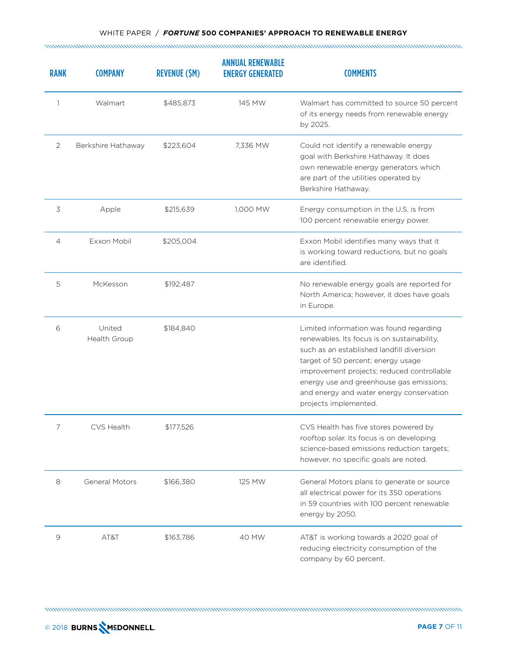| <b>RANK</b>    | <b>COMPANY</b>         | <b>REVENUE (\$M)</b> | <b>ANNUAL RENEWABLE</b><br><b>ENERGY GENERATED</b> | <b>COMMENTS</b>                                                                                                                                                                                                                                                                                                                          |
|----------------|------------------------|----------------------|----------------------------------------------------|------------------------------------------------------------------------------------------------------------------------------------------------------------------------------------------------------------------------------------------------------------------------------------------------------------------------------------------|
| 1              | Walmart                | \$485,873            | 145 MW                                             | Walmart has committed to source 50 percent<br>of its energy needs from renewable energy<br>by 2025.                                                                                                                                                                                                                                      |
| 2              | Berkshire Hathaway     | \$223,604            | 7.336 MW                                           | Could not identify a renewable energy<br>goal with Berkshire Hathaway. It does<br>own renewable energy generators which<br>are part of the utilities operated by<br>Berkshire Hathaway.                                                                                                                                                  |
| 3              | Apple                  | \$215,639            | 1,000 MW                                           | Energy consumption in the U.S. is from<br>100 percent renewable energy power.                                                                                                                                                                                                                                                            |
| $\overline{4}$ | Exxon Mobil            | \$205,004            |                                                    | Exxon Mobil identifies many ways that it<br>is working toward reductions, but no goals<br>are identified.                                                                                                                                                                                                                                |
| 5              | McKesson               | \$192,487            |                                                    | No renewable energy goals are reported for<br>North America; however, it does have goals<br>in Europe.                                                                                                                                                                                                                                   |
| 6              | United<br>Health Group | \$184,840            |                                                    | Limited information was found regarding<br>renewables. Its focus is on sustainability,<br>such as an established landfill diversion<br>target of 50 percent; energy usage<br>improvement projects; reduced controllable<br>energy use and greenhouse gas emissions;<br>and energy and water energy conservation<br>projects implemented. |
|                | CVS Health             | \$177,526            |                                                    | CVS Health has five stores powered by<br>rooftop solar. Its focus is on developing<br>science-based emissions reduction targets;<br>however, no specific goals are noted.                                                                                                                                                                |
| 8              | <b>General Motors</b>  | \$166,380            | 125 MW                                             | General Motors plans to generate or source<br>all electrical power for its 350 operations<br>in 59 countries with 100 percent renewable<br>energy by 2050.                                                                                                                                                                               |
| 9              | AT&T                   | \$163,786            | 40 MW                                              | AT&T is working towards a 2020 goal of<br>reducing electricity consumption of the<br>company by 60 percent.                                                                                                                                                                                                                              |

and and an anti-component and an anti-component and an anti-component and an anti-component and an anti-component and and an anti-component and an anti-component and an anti-component and an anti-component and an anti-comp

© 2018 **PAGE 7** OF 11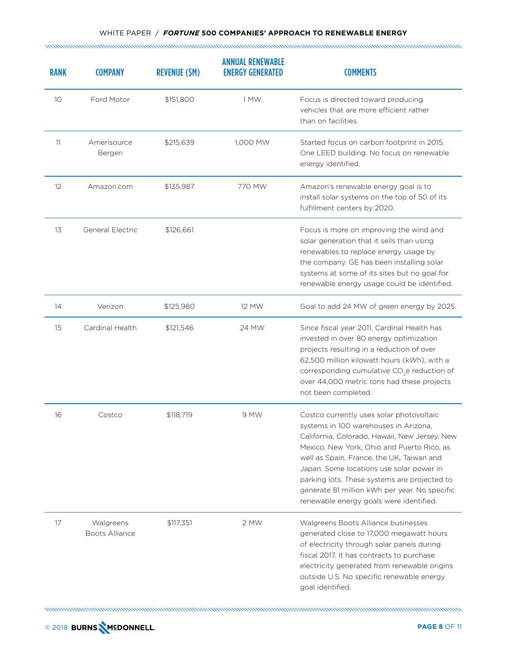| <b>RANK</b>       | <b>COMPANY</b>                     | <b>REVENUE (\$M)</b> | <b>ANNUAL RENEWABLE</b><br><b>ENERGY GENERATED</b> | <b>COMMENTS</b>                                                                                                                                                                                                                                                                                                                                                                                                       |
|-------------------|------------------------------------|----------------------|----------------------------------------------------|-----------------------------------------------------------------------------------------------------------------------------------------------------------------------------------------------------------------------------------------------------------------------------------------------------------------------------------------------------------------------------------------------------------------------|
| 10                | Ford Motor                         | \$151,800            | 1 MW                                               | Focus is directed toward producing<br>vehicles that are more efficient rather<br>than on facilities.                                                                                                                                                                                                                                                                                                                  |
| 11                | Amerisource<br>Bergen              | \$215,639            | 1,000 MW                                           | Started focus on carbon footprint in 2015.<br>One LEED building. No focus on renewable<br>energy identified.                                                                                                                                                                                                                                                                                                          |
| $12 \overline{ }$ | Amazon.com                         | \$135,987            | 770 MW                                             | Amazon's renewable energy goal is to<br>install solar systems on the top of 50 of its<br>fulfillment centers by 2020.                                                                                                                                                                                                                                                                                                 |
| 13                | <b>General Electric</b>            | \$126,661            |                                                    | Focus is more on improving the wind and<br>solar generation that it sells than using<br>renewables to replace energy usage by<br>the company. GE has been installing solar<br>systems at some of its sites but no goal for<br>renewable energy usage could be identified.                                                                                                                                             |
| 14                | Verizon                            | \$125,980            | 12 MW                                              | Goal to add 24 MW of green energy by 2025.                                                                                                                                                                                                                                                                                                                                                                            |
| 15                | Cardinal Health                    | \$121,546            | 24 MW                                              | Since fiscal year 2011, Cardinal Health has<br>invested in over 80 energy optimization<br>projects resulting in a reduction of over<br>62,500 million kilowatt hours (kWh), with a<br>corresponding cumulative CO <sub>2</sub> e reduction of<br>over 44,000 metric tons had these projects<br>not been completed.                                                                                                    |
| 16                | Costco                             | \$118,719            | 9 MW                                               | Costco currently uses solar photovoltaic<br>systems in 100 warehouses in Arizona,<br>California, Colorado, Hawaii, New Jersey, New<br>Mexico, New York, Ohio and Puerto Rico, as<br>well as Spain, France, the UK, Taiwan and<br>Japan. Some locations use solar power in<br>parking lots. These systems are projected to<br>generate 81 million kWh per year. No specific<br>renewable energy goals were identified. |
| 17                | Walgreens<br><b>Boots Alliance</b> | \$117,351            | 2 MW                                               | Walgreens Boots Alliance businesses<br>generated close to 17,000 megawatt hours<br>of electricity through solar panels during<br>fiscal 2017. It has contracts to purchase<br>electricity generated from renewable origins<br>outside U.S. No specific renewable energy<br>goal identified.                                                                                                                           |

and and an anti-component and an anti-component and an anti-component and an anti-component and an anti-component and and an anti-component and an anti-component and an anti-component and an anti-component and an anti-comp

© 2018 **PAGE 8** OF 11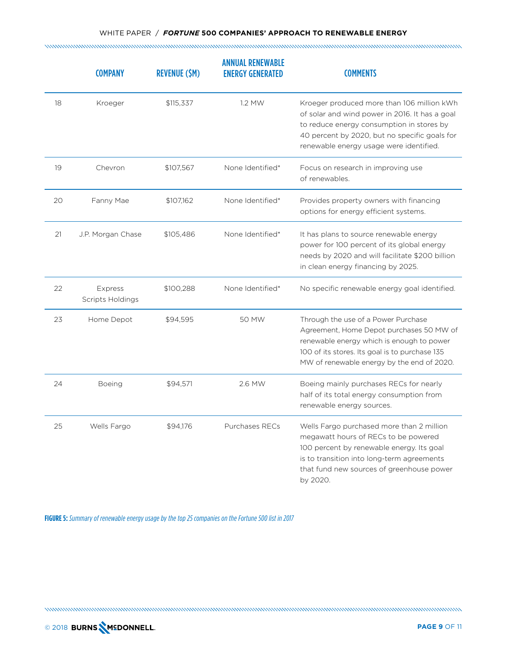## WHITE PAPER / *FORTUNE* **500 COMPANIES' APPROACH TO RENEWABLE ENERGY**

|    | <b>COMPANY</b>                     | <b>REVENUE (\$M)</b> | <b>ANNUAL RENEWABLE</b><br><b>ENERGY GENERATED</b> | <b>COMMENTS</b>                                                                                                                                                                                                                       |
|----|------------------------------------|----------------------|----------------------------------------------------|---------------------------------------------------------------------------------------------------------------------------------------------------------------------------------------------------------------------------------------|
| 18 | Kroeger                            | \$115,337            | 1.2 MW                                             | Kroeger produced more than 106 million kWh<br>of solar and wind power in 2016. It has a goal<br>to reduce energy consumption in stores by<br>40 percent by 2020, but no specific goals for<br>renewable energy usage were identified. |
| 19 | Chevron                            | \$107,567            | None Identified*                                   | Focus on research in improving use<br>of renewables.                                                                                                                                                                                  |
| 20 | Fanny Mae                          | \$107,162            | None Identified*                                   | Provides property owners with financing<br>options for energy efficient systems.                                                                                                                                                      |
| 21 | J.P. Morgan Chase                  | \$105,486            | None Identified*                                   | It has plans to source renewable energy<br>power for 100 percent of its global energy<br>needs by 2020 and will facilitate \$200 billion<br>in clean energy financing by 2025.                                                        |
| 22 | Express<br><b>Scripts Holdings</b> | \$100,288            | None Identified*                                   | No specific renewable energy goal identified.                                                                                                                                                                                         |
| 23 | Home Depot                         | \$94,595             | 50 MW                                              | Through the use of a Power Purchase<br>Agreement, Home Depot purchases 50 MW of<br>renewable energy which is enough to power<br>100 of its stores. Its goal is to purchase 135<br>MW of renewable energy by the end of 2020.          |
| 24 | <b>Boeing</b>                      | \$94,571             | 2.6 MW                                             | Boeing mainly purchases RECs for nearly<br>half of its total energy consumption from<br>renewable energy sources.                                                                                                                     |
| 25 | Wells Fargo                        | \$94,176             | Purchases RECs                                     | Wells Fargo purchased more than 2 million<br>megawatt hours of RECs to be powered<br>100 percent by renewable energy. Its goal<br>is to transition into long-term agreements<br>that fund new sources of greenhouse power<br>by 2020. |

**FIGURE 5:** *Summary of renewable energy usage by the top 25 companies on the Fortune 500 list in 2017*

© 2018 **PAGE 9** OF 11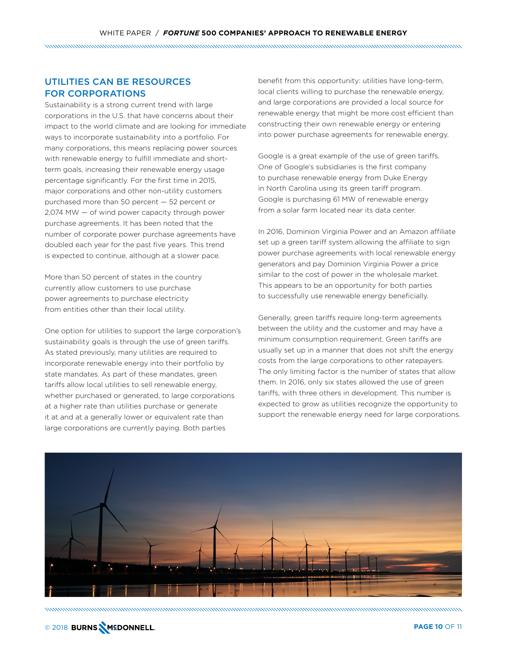# UTILITIES CAN BE RESOURCES FOR CORPORATIONS

Sustainability is a strong current trend with large corporations in the U.S. that have concerns about their impact to the world climate and are looking for immediate ways to incorporate sustainability into a portfolio. For many corporations, this means replacing power sources with renewable energy to fulfill immediate and shortterm goals, increasing their renewable energy usage percentage significantly. For the first time in 2015, major corporations and other non-utility customers purchased more than 50 percent — 52 percent or 2,074 MW — of wind power capacity through power purchase agreements. It has been noted that the number of corporate power purchase agreements have doubled each year for the past five years. This trend is expected to continue, although at a slower pace.

More than 50 percent of states in the country currently allow customers to use purchase power agreements to purchase electricity from entities other than their local utility.

One option for utilities to support the large corporation's sustainability goals is through the use of green tariffs. As stated previously, many utilities are required to incorporate renewable energy into their portfolio by state mandates. As part of these mandates, green tariffs allow local utilities to sell renewable energy, whether purchased or generated, to large corporations at a higher rate than utilities purchase or generate it at and at a generally lower or equivalent rate than large corporations are currently paying. Both parties

benefit from this opportunity: utilities have long-term, local clients willing to purchase the renewable energy, and large corporations are provided a local source for renewable energy that might be more cost efficient than constructing their own renewable energy or entering into power purchase agreements for renewable energy.

Google is a great example of the use of green tariffs. One of Google's subsidiaries is the first company to purchase renewable energy from Duke Energy in North Carolina using its green tariff program. Google is purchasing 61 MW of renewable energy from a solar farm located near its data center.

In 2016, Dominion Virginia Power and an Amazon affiliate set up a green tariff system allowing the affiliate to sign power purchase agreements with local renewable energy generators and pay Dominion Virginia Power a price similar to the cost of power in the wholesale market. This appears to be an opportunity for both parties to successfully use renewable energy beneficially.

Generally, green tariffs require long-term agreements between the utility and the customer and may have a minimum consumption requirement. Green tariffs are usually set up in a manner that does not shift the energy costs from the large corporations to other ratepayers. The only limiting factor is the number of states that allow them. In 2016, only six states allowed the use of green tariffs, with three others in development. This number is expected to grow as utilities recognize the opportunity to support the renewable energy need for large corporations.